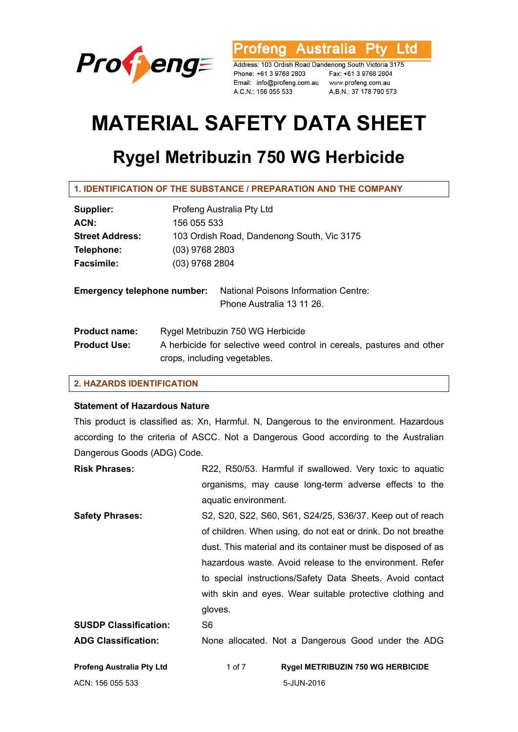

'rofeng Australia Ptv Ltd

Address: 103 Ordish Road Dandenong South Victoria 3175 Phone: +61 3 9768 2803 Fax: +61 3 9768 2804 Email: info@profeng.com.au www.profeng.com.au A.C.N.: 156 055 533

A.B.N.: 37 178 790 573

# **MATERIAL SAFETY DATA SHEET**

# **Rygel Metribuzin 750 WG Herbicide**

**1. IDENTIFICATION OF THE SUBSTANCE / PREPARATION AND THE COMPANY** 

| Supplier:                          | Profeng Australia Pty Ltd                                                                             |                                                                   |  |
|------------------------------------|-------------------------------------------------------------------------------------------------------|-------------------------------------------------------------------|--|
| ACN:                               | 156 055 533                                                                                           |                                                                   |  |
| <b>Street Address:</b>             | 103 Ordish Road, Dandenong South, Vic 3175                                                            |                                                                   |  |
| Telephone:                         | $(03)$ 9768 2803                                                                                      |                                                                   |  |
| <b>Facsimile:</b>                  | (03) 9768 2804                                                                                        |                                                                   |  |
| <b>Emergency telephone number:</b> |                                                                                                       | National Poisons Information Centre:<br>Phone Australia 13 11 26. |  |
| <b>Product name:</b>               | Rygel Metribuzin 750 WG Herbicide                                                                     |                                                                   |  |
| <b>Product Use:</b>                | A herbicide for selective weed control in cereals, pastures and other<br>crops, including vegetables. |                                                                   |  |

# **2. HAZARDS IDENTIFICATION**

#### **Statement of Hazardous Nature**

This product is classified as: Xn, Harmful. N, Dangerous to the environment. Hazardous according to the criteria of ASCC. Not a Dangerous Good according to the Australian Dangerous Goods (ADG) Code.

| <b>Risk Phrases:</b>             | R22, R50/53. Harmful if swallowed. Very toxic to aquatic     |
|----------------------------------|--------------------------------------------------------------|
|                                  | organisms, may cause long-term adverse effects to the        |
|                                  | aquatic environment.                                         |
| <b>Safety Phrases:</b>           | S2, S20, S22, S60, S61, S24/25, S36/37. Keep out of reach    |
|                                  | of children. When using, do not eat or drink. Do not breathe |
|                                  | dust. This material and its container must be disposed of as |
|                                  | hazardous waste. Avoid release to the environment. Refer     |
|                                  | to special instructions/Safety Data Sheets. Avoid contact    |
|                                  | with skin and eyes. Wear suitable protective clothing and    |
|                                  | gloves.                                                      |
| <b>SUSDP Classification:</b>     | S <sub>6</sub>                                               |
| <b>ADG Classification:</b>       | None allocated. Not a Dangerous Good under the ADG           |
| <b>Profeng Australia Pty Ltd</b> | <b>Rygel METRIBUZIN 750 WG HERBICIDE</b><br>1 of 7           |

ACN: 156 055 533 5-JUN-2016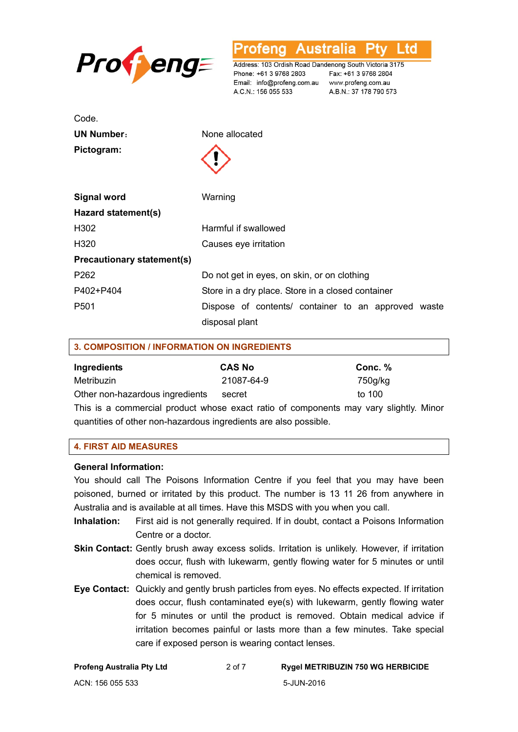

**Australia** L td ofena

Address: 103 Ordish Road Dandenong South Victoria 3175 Phone: +61 3 9768 2803 Email: info@profeng.com.au www.profeng.com.au A.C.N.: 156 055 533

Fax: +61 3 9768 2804 A.B.N.: 37 178 790 573

| Code.                             |                                                     |
|-----------------------------------|-----------------------------------------------------|
| <b>UN Number:</b>                 | None allocated                                      |
| Pictogram:                        |                                                     |
| <b>Signal word</b>                | Warning                                             |
| Hazard statement(s)               |                                                     |
| H302                              | Harmful if swallowed                                |
| H320                              | Causes eye irritation                               |
| <b>Precautionary statement(s)</b> |                                                     |
| P262                              | Do not get in eyes, on skin, or on clothing         |
| P402+P404                         | Store in a dry place. Store in a closed container   |
| P <sub>501</sub>                  | Dispose of contents/ container to an approved waste |
|                                   | disposal plant                                      |

| <b>3. COMPOSITION / INFORMATION ON INGREDIENTS</b> |               |         |  |  |
|----------------------------------------------------|---------------|---------|--|--|
| Ingredients                                        | <b>CAS No</b> | Conc. % |  |  |
| Metribuzin                                         | 21087-64-9    | 750g/kg |  |  |
| Other non-hazardous ingredients                    | secret        | to 100  |  |  |

This is a commercial product whose exact ratio of components may vary slightly. Minor quantities of other non-hazardous ingredients are also possible.

#### **4. FIRST AID MEASURES**

#### **General Information:**

You should call The Poisons Information Centre if you feel that you may have been poisoned, burned or irritated by this product. The number is 13 11 26 from anywhere in Australia and is available at all times. Have this MSDS with you when you call.

- **Inhalation:** First aid is not generally required. If in doubt, contact a Poisons Information Centre or a doctor.
- **Skin Contact:** Gently brush away excess solids. Irritation is unlikely. However, if irritation does occur, flush with lukewarm, gently flowing water for 5 minutes or until chemical is removed.
- **Eye Contact:** Quickly and gently brush particles from eyes. No effects expected. If irritation does occur, flush contaminated eye(s) with lukewarm, gently flowing water for 5 minutes or until the product is removed. Obtain medical advice if irritation becomes painful or lasts more than a few minutes. Take special care if exposed person is wearing contact lenses.

| <b>Profeng Australia Pty Ltd</b> | 2 of 7 | <b>Rygel METRIBUZIN 750 WG HERBICIDE</b> |
|----------------------------------|--------|------------------------------------------|
| ACN: 156 055 533                 |        | 5-JUN-2016                               |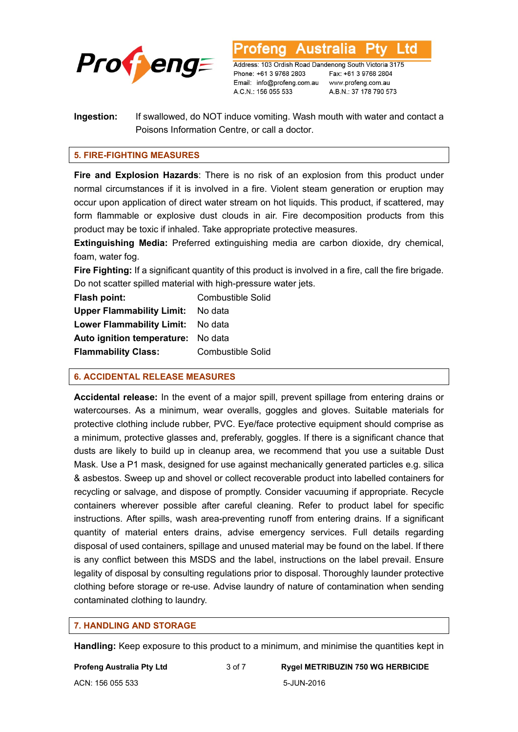

Australia L td

Address: 103 Ordish Road Dandenong South Victoria 3175 Phone: +61 3 9768 2803 Email: info@profeng.com.au A.C.N.: 156 055 533

Fax: +61 3 9768 2804 www.profeng.com.au A.B.N.: 37 178 790 573

# **Ingestion:** If swallowed, do NOT induce vomiting. Wash mouth with water and contact a Poisons Information Centre, or call a doctor.

# **5. FIRE-FIGHTING MEASURES**

**Fire and Explosion Hazards**: There is no risk of an explosion from this product under normal circumstances if it is involved in a fire. Violent steam generation or eruption may occur upon application of direct water stream on hot liquids. This product, if scattered, may form flammable or explosive dust clouds in air. Fire decomposition products from this product may be toxic if inhaled. Take appropriate protective measures.

**Extinguishing Media:** Preferred extinguishing media are carbon dioxide, dry chemical, foam, water fog.

**Fire Fighting:** If a significant quantity of this product is involved in a fire, call the fire brigade. Do not scatter spilled material with high-pressure water jets.

| Flash point:                       | <b>Combustible Solid</b> |
|------------------------------------|--------------------------|
| <b>Upper Flammability Limit:</b>   | No data                  |
| <b>Lower Flammability Limit:</b>   | No data                  |
| Auto ignition temperature: No data |                          |
| <b>Flammability Class:</b>         | <b>Combustible Solid</b> |

# **6. ACCIDENTAL RELEASE MEASURES**

**Accidental release:** In the event of a major spill, prevent spillage from entering drains or watercourses. As a minimum, wear overalls, goggles and gloves. Suitable materials for protective clothing include rubber, PVC. Eye/face protective equipment should comprise as a minimum, protective glasses and, preferably, goggles. If there is a significant chance that dusts are likely to build up in cleanup area, we recommend that you use a suitable Dust Mask. Use a P1 mask, designed for use against mechanically generated particles e.g. silica & asbestos. Sweep up and shovel or collect recoverable product into labelled containers for recycling or salvage, and dispose of promptly. Consider vacuuming if appropriate. Recycle containers wherever possible after careful cleaning. Refer to product label for specific instructions. After spills, wash area-preventing runoff from entering drains. If a significant quantity of material enters drains, advise emergency services. Full details regarding disposal of used containers, spillage and unused material may be found on the label. If there is any conflict between this MSDS and the label, instructions on the label prevail. Ensure legality of disposal by consulting regulations prior to disposal. Thoroughly launder protective clothing before storage or re-use. Advise laundry of nature of contamination when sending contaminated clothing to laundry.

# **7. HANDLING AND STORAGE**

**Handling:** Keep exposure to this product to a minimum, and minimise the quantities kept in

ACN: 156 055 533 5-JUN-2016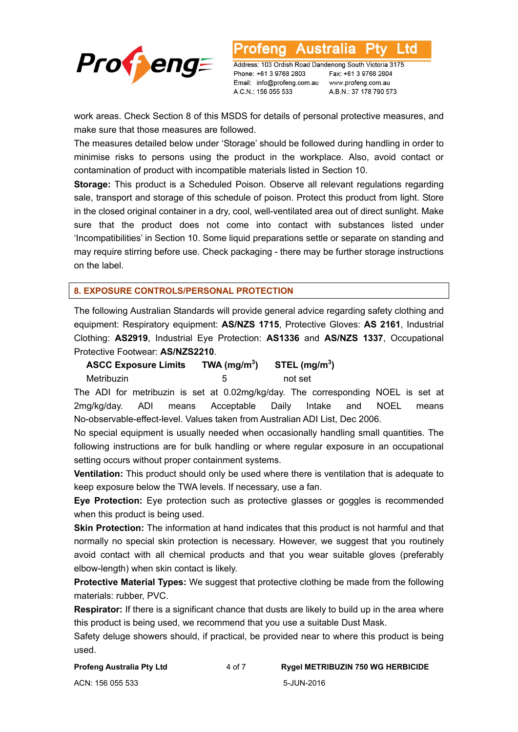

Address: 103 Ordish Road Dandenong South Victoria 3175 Phone: +61 3 9768 2803 Email: info@profeng.com.au A.C.N.: 156 055 533

Australia

Fax: +61 3 9768 2804 www.profeng.com.au A.B.N.: 37 178 790 573

L td

work areas. Check Section 8 of this MSDS for details of personal protective measures, and make sure that those measures are followed.

otena

The measures detailed below under 'Storage' should be followed during handling in order to minimise risks to persons using the product in the workplace. Also, avoid contact or contamination of product with incompatible materials listed in Section 10.

**Storage:** This product is a Scheduled Poison. Observe all relevant regulations regarding sale, transport and storage of this schedule of poison. Protect this product from light. Store in the closed original container in a dry, cool, well-ventilated area out of direct sunlight. Make sure that the product does not come into contact with substances listed under 'Incompatibilities' in Section 10. Some liquid preparations settle or separate on standing and may require stirring before use. Check packaging - there may be further storage instructions on the label.

# **8. EXPOSURE CONTROLS/PERSONAL PROTECTION**

The following Australian Standards will provide general advice regarding safety clothing and equipment: Respiratory equipment: **AS/NZS 1715**, Protective Gloves: **AS 2161**, Industrial Clothing: **AS2919**, Industrial Eye Protection: **AS1336** and **AS/NZS 1337**, Occupational Protective Footwear: **AS/NZS2210**.

**ASCC Exposure Limits TWA (mg/m3**  $\mathsf{STEL}\left(\mathsf{mg/m}^3\right)$ 

Metribuzin 5 not set

The ADI for metribuzin is set at 0.02mg/kg/day. The corresponding NOEL is set at 2mg/kg/day. ADI means Acceptable Daily Intake and NOEL means No-observable-effect-level. Values taken from Australian ADI List, Dec 2006.

No special equipment is usually needed when occasionally handling small quantities. The following instructions are for bulk handling or where regular exposure in an occupational setting occurs without proper containment systems.

**Ventilation:** This product should only be used where there is ventilation that is adequate to keep exposure below the TWA levels. If necessary, use a fan.

**Eye Protection:** Eye protection such as protective glasses or goggles is recommended when this product is being used.

**Skin Protection:** The information at hand indicates that this product is not harmful and that normally no special skin protection is necessary. However, we suggest that you routinely avoid contact with all chemical products and that you wear suitable gloves (preferably elbow-length) when skin contact is likely.

**Protective Material Types:** We suggest that protective clothing be made from the following materials: rubber, PVC.

**Respirator:** If there is a significant chance that dusts are likely to build up in the area where this product is being used, we recommend that you use a suitable Dust Mask.

Safety deluge showers should, if practical, be provided near to where this product is being used.

ACN: 156 055 533 5-JUN-2016

**Profeng Australia Pty Ltd** 4 of 7 **Rygel METRIBUZIN 750 WG HERBICIDE**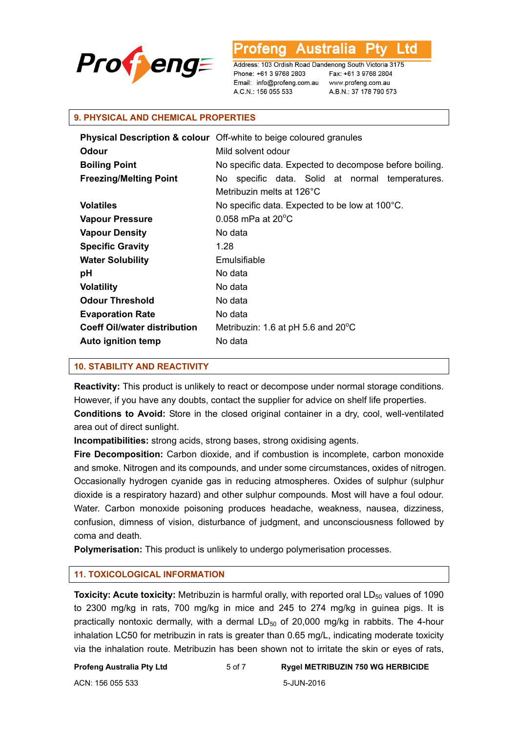

L to 'ena

Address: 103 Ordish Road Dandenong South Victoria 3175 Phone: +61 3 9768 2803 Email: info@profeng.com.au A.C.N.: 156 055 533

Fax: +61 3 9768 2804 www.profeng.com.au A.B.N.: 37 178 790 573

#### **9. PHYSICAL AND CHEMICAL PROPERTIES**

|                                     | <b>Physical Description &amp; colour</b> Off-white to beige coloured granules |
|-------------------------------------|-------------------------------------------------------------------------------|
| <b>Odour</b>                        | Mild solvent odour                                                            |
| <b>Boiling Point</b>                | No specific data. Expected to decompose before boiling.                       |
| <b>Freezing/Melting Point</b>       | No specific data. Solid at normal temperatures.                               |
|                                     | Metribuzin melts at 126°C                                                     |
| <b>Volatiles</b>                    | No specific data. Expected to be low at 100°C.                                |
| <b>Vapour Pressure</b>              | $0.058$ mPa at $20^{\circ}$ C                                                 |
| <b>Vapour Density</b>               | No data                                                                       |
| <b>Specific Gravity</b>             | 1.28                                                                          |
| <b>Water Solubility</b>             | Emulsifiable                                                                  |
| рH                                  | No data                                                                       |
| <b>Volatility</b>                   | No data                                                                       |
| <b>Odour Threshold</b>              | No data                                                                       |
| <b>Evaporation Rate</b>             | No data                                                                       |
| <b>Coeff Oil/water distribution</b> | Metribuzin: 1.6 at pH 5.6 and $20^{\circ}$ C                                  |
| <b>Auto ignition temp</b>           | No data                                                                       |

# **10. STABILITY AND REACTIVITY**

**Reactivity:** This product is unlikely to react or decompose under normal storage conditions. However, if you have any doubts, contact the supplier for advice on shelf life properties. **Conditions to Avoid:** Store in the closed original container in a dry, cool, well-ventilated area out of direct sunlight.

**Incompatibilities:** strong acids, strong bases, strong oxidising agents.

**Fire Decomposition:** Carbon dioxide, and if combustion is incomplete, carbon monoxide and smoke. Nitrogen and its compounds, and under some circumstances, oxides of nitrogen. Occasionally hydrogen cyanide gas in reducing atmospheres. Oxides of sulphur (sulphur dioxide is a respiratory hazard) and other sulphur compounds. Most will have a foul odour. Water. Carbon monoxide poisoning produces headache, weakness, nausea, dizziness, confusion, dimness of vision, disturbance of judgment, and unconsciousness followed by coma and death.

**Polymerisation:** This product is unlikely to undergo polymerisation processes.

#### **11. TOXICOLOGICAL INFORMATION**

**Toxicity: Acute toxicity:** Metribuzin is harmful orally, with reported oral LD<sub>50</sub> values of 1090 to 2300 mg/kg in rats, 700 mg/kg in mice and 245 to 274 mg/kg in guinea pigs. It is practically nontoxic dermally, with a dermal  $LD_{50}$  of 20,000 mg/kg in rabbits. The 4-hour inhalation LC50 for metribuzin in rats is greater than 0.65 mg/L, indicating moderate toxicity via the inhalation route. Metribuzin has been shown not to irritate the skin or eyes of rats,

#### **Profeng Australia Pty Ltd** 5 of 7 **Rygel METRIBUZIN 750 WG HERBICIDE**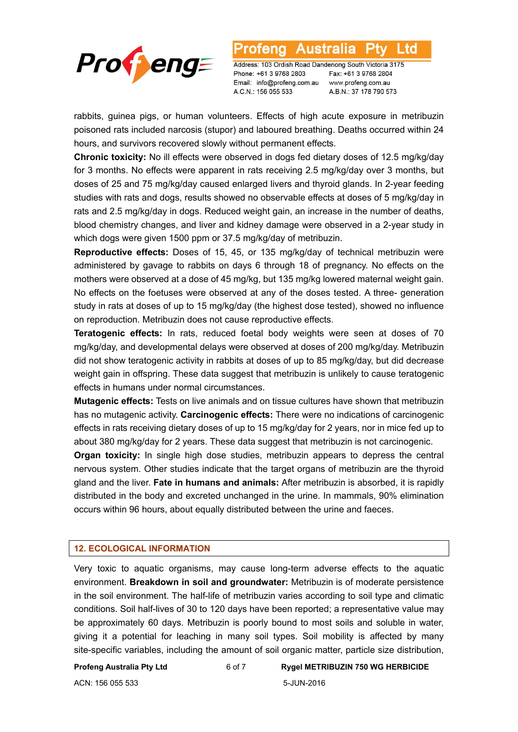

Australia l td

Address: 103 Ordish Road Dandenong South Victoria 3175 Phone: +61 3 9768 2803 Email: info@profeng.com.au A.C.N.: 156 055 533

Fax: +61 3 9768 2804 www.profeng.com.au A.B.N.: 37 178 790 573

rabbits, guinea pigs, or human volunteers. Effects of high acute exposure in metribuzin poisoned rats included narcosis (stupor) and laboured breathing. Deaths occurred within 24 hours, and survivors recovered slowly without permanent effects.

**Chronic toxicity:** No ill effects were observed in dogs fed dietary doses of 12.5 mg/kg/day for 3 months. No effects were apparent in rats receiving 2.5 mg/kg/day over 3 months, but doses of 25 and 75 mg/kg/day caused enlarged livers and thyroid glands. In 2-year feeding studies with rats and dogs, results showed no observable effects at doses of 5 mg/kg/day in rats and 2.5 mg/kg/day in dogs. Reduced weight gain, an increase in the number of deaths, blood chemistry changes, and liver and kidney damage were observed in a 2-year study in which dogs were given 1500 ppm or 37.5 mg/kg/day of metribuzin.

**Reproductive effects:** Doses of 15, 45, or 135 mg/kg/day of technical metribuzin were administered by gavage to rabbits on days 6 through 18 of pregnancy. No effects on the mothers were observed at a dose of 45 mg/kg, but 135 mg/kg lowered maternal weight gain. No effects on the foetuses were observed at any of the doses tested. A three- generation study in rats at doses of up to 15 mg/kg/day (the highest dose tested), showed no influence on reproduction. Metribuzin does not cause reproductive effects.

**Teratogenic effects:** In rats, reduced foetal body weights were seen at doses of 70 mg/kg/day, and developmental delays were observed at doses of 200 mg/kg/day. Metribuzin did not show teratogenic activity in rabbits at doses of up to 85 mg/kg/day, but did decrease weight gain in offspring. These data suggest that metribuzin is unlikely to cause teratogenic effects in humans under normal circumstances.

**Mutagenic effects:** Tests on live animals and on tissue cultures have shown that metribuzin has no mutagenic activity. **Carcinogenic effects:** There were no indications of carcinogenic effects in rats receiving dietary doses of up to 15 mg/kg/day for 2 years, nor in mice fed up to about 380 mg/kg/day for 2 years. These data suggest that metribuzin is not carcinogenic.

**Organ toxicity:** In single high dose studies, metribuzin appears to depress the central nervous system. Other studies indicate that the target organs of metribuzin are the thyroid gland and the liver. **Fate in humans and animals:** After metribuzin is absorbed, it is rapidly distributed in the body and excreted unchanged in the urine. In mammals, 90% elimination occurs within 96 hours, about equally distributed between the urine and faeces.

# **12. ECOLOGICAL INFORMATION**

Very toxic to aquatic organisms, may cause long-term adverse effects to the aquatic environment. **Breakdown in soil and groundwater:** Metribuzin is of moderate persistence in the soil environment. The half-life of metribuzin varies according to soil type and climatic conditions. Soil half-lives of 30 to 120 days have been reported; a representative value may be approximately 60 days. Metribuzin is poorly bound to most soils and soluble in water, giving it a potential for leaching in many soil types. Soil mobility is affected by many site-specific variables, including the amount of soil organic matter, particle size distribution,

**Profeng Australia Pty Ltd** 6 of 7 **Rygel METRIBUZIN 750 WG HERBICIDE** 

ACN: 156 055 533 5-JUN-2016